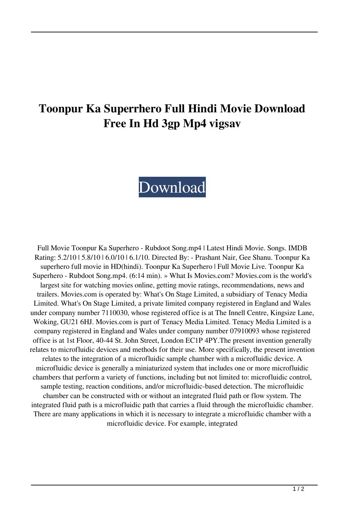## **Toonpur Ka Superrhero Full Hindi Movie Download Free In Hd 3gp Mp4 vigsav**

## [Download](http://evacdir.com/bowyers/?ZG93bmxvYWR8U0s3TVdNeVkzeDhNVFkxTWpRMk16QTFNSHg4TWpVM05IeDhLRTBwSUhKbFlXUXRZbXh2WnlCYlJtRnpkQ0JIUlU1ZA=fargo&pittas=VG9vbnB1ciBLYSBTdXBlcnJoZXJvIGZ1bGwgaGluZGkgbW92aWUgZG93bmxvYWQgZnJlZSBpbiBoZCAzZ3AgbXA0VG9.rochefort.fortes/interaction/)

Full Movie Toonpur Ka Superhero - Rubdoot Song.mp4 | Latest Hindi Movie. Songs. IMDB Rating: 5.2/10 | 5.8/10 | 6.0/10 | 6.1/10. Directed By: - Prashant Nair, Gee Shanu. Toonpur Ka superhero full movie in HD(hindi). Toonpur Ka Superhero | Full Movie Live. Toonpur Ka Superhero - Rubdoot Song.mp4. (6:14 min). » What Is Movies.com? Movies.com is the world's largest site for watching movies online, getting movie ratings, recommendations, news and trailers. Movies.com is operated by: What's On Stage Limited, a subsidiary of Tenacy Media Limited. What's On Stage Limited, a private limited company registered in England and Wales under company number 7110030, whose registered office is at The Innell Centre, Kingsize Lane, Woking, GU21 6HJ. Movies.com is part of Tenacy Media Limited. Tenacy Media Limited is a company registered in England and Wales under company number 07910093 whose registered office is at 1st Floor, 40-44 St. John Street, London EC1P 4PY.The present invention generally relates to microfluidic devices and methods for their use. More specifically, the present invention relates to the integration of a microfluidic sample chamber with a microfluidic device. A microfluidic device is generally a miniaturized system that includes one or more microfluidic chambers that perform a variety of functions, including but not limited to: microfluidic control, sample testing, reaction conditions, and/or microfluidic-based detection. The microfluidic chamber can be constructed with or without an integrated fluid path or flow system. The integrated fluid path is a microfluidic path that carries a fluid through the microfluidic chamber. There are many applications in which it is necessary to integrate a microfluidic chamber with a microfluidic device. For example, integrated